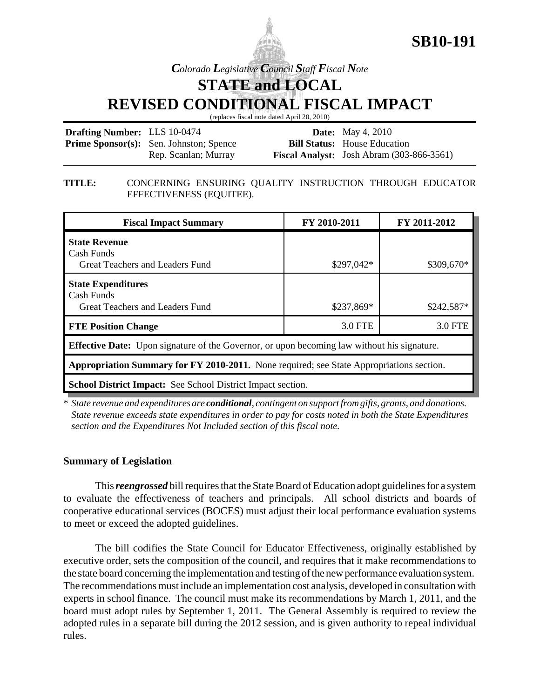

*Colorado Legislative Council Staff Fiscal Note*

**STATE and LOCAL**

**REVISED CONDITIONAL FISCAL IMPACT**

(replaces fiscal note dated April 20, 2010)

| <b>Drafting Number:</b> LLS 10-0474 |                                                | <b>Date:</b> May 4, 2010                           |
|-------------------------------------|------------------------------------------------|----------------------------------------------------|
|                                     | <b>Prime Sponsor(s):</b> Sen. Johnston; Spence | <b>Bill Status:</b> House Education                |
|                                     | Rep. Scanlan; Murray                           | <b>Fiscal Analyst:</b> Josh Abram $(303-866-3561)$ |

## **TITLE:** CONCERNING ENSURING QUALITY INSTRUCTION THROUGH EDUCATOR EFFECTIVENESS (EQUITEE).

| <b>Fiscal Impact Summary</b>                                                                       | FY 2010-2011 | FY 2011-2012 |  |  |  |
|----------------------------------------------------------------------------------------------------|--------------|--------------|--|--|--|
| <b>State Revenue</b><br>Cash Funds<br>Great Teachers and Leaders Fund                              | $$297,042*$  | \$309,670*   |  |  |  |
| <b>State Expenditures</b><br>Cash Funds<br>Great Teachers and Leaders Fund                         | \$237,869*   | $$242,587*$  |  |  |  |
| <b>FTE Position Change</b>                                                                         | 3.0 FTE      | 3.0 FTE      |  |  |  |
| <b>Effective Date:</b> Upon signature of the Governor, or upon becoming law without his signature. |              |              |  |  |  |
| <b>Appropriation Summary for FY 2010-2011.</b> None required; see State Appropriations section.    |              |              |  |  |  |
| <b>School District Impact:</b> See School District Impact section.                                 |              |              |  |  |  |

\* *State revenue and expenditures are conditional, contingent on support from gifts, grants, and donations. State revenue exceeds state expenditures in order to pay for costs noted in both the State Expenditures section and the Expenditures Not Included section of this fiscal note.*

## **Summary of Legislation**

This *reengrossed* bill requires that the State Board of Education adopt guidelines for a system to evaluate the effectiveness of teachers and principals. All school districts and boards of cooperative educational services (BOCES) must adjust their local performance evaluation systems to meet or exceed the adopted guidelines.

The bill codifies the State Council for Educator Effectiveness, originally established by executive order, sets the composition of the council, and requires that it make recommendations to the state board concerning the implementation and testing of the new performance evaluation system. The recommendations must include an implementation cost analysis, developed in consultation with experts in school finance. The council must make its recommendations by March 1, 2011, and the board must adopt rules by September 1, 2011. The General Assembly is required to review the adopted rules in a separate bill during the 2012 session, and is given authority to repeal individual rules.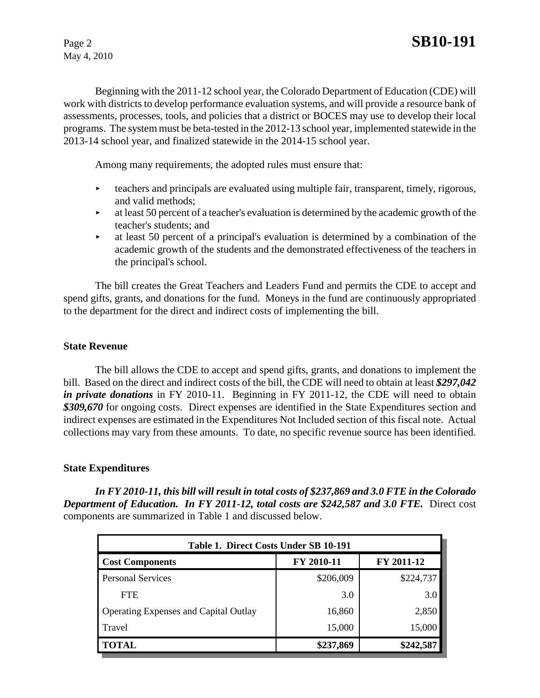May 4, 2010

Beginning with the 2011-12 school year, the Colorado Department of Education (CDE) will work with districts to develop performance evaluation systems, and will provide a resource bank of assessments, processes, tools, and policies that a district or BOCES may use to develop their local programs. The system must be beta-tested in the 2012-13 school year, implemented statewide in the 2013-14 school year, and finalized statewide in the 2014-15 school year.

Among many requirements, the adopted rules must ensure that:

- $\triangleright$  teachers and principals are evaluated using multiple fair, transparent, timely, rigorous, and valid methods;
- $\blacktriangleright$  at least 50 percent of a teacher's evaluation is determined by the academic growth of the teacher's students; and
- $\rightarrow$  at least 50 percent of a principal's evaluation is determined by a combination of the academic growth of the students and the demonstrated effectiveness of the teachers in the principal's school.

The bill creates the Great Teachers and Leaders Fund and permits the CDE to accept and spend gifts, grants, and donations for the fund. Moneys in the fund are continuously appropriated to the department for the direct and indirect costs of implementing the bill.

## **State Revenue**

The bill allows the CDE to accept and spend gifts, grants, and donations to implement the bill. Based on the direct and indirect costs of the bill, the CDE will need to obtain at least *\$297,042 in private donations* in FY 2010-11. Beginning in FY 2011-12, the CDE will need to obtain *\$309,670* for ongoing costs. Direct expenses are identified in the State Expenditures section and indirect expenses are estimated in the Expenditures Not Included section of this fiscal note. Actual collections may vary from these amounts. To date, no specific revenue source has been identified.

#### **State Expenditures**

*In FY 2010-11, this bill will result in total costs of \$237,869 and 3.0 FTE in the Colorado* **Department of Education. In FY 2011-12, total costs are \$242,587 and 3.0 FTE.** Direct cost components are summarized in Table 1 and discussed below.

| Table 1. Direct Costs Under SB 10-191        |            |            |  |  |  |  |
|----------------------------------------------|------------|------------|--|--|--|--|
| <b>Cost Components</b>                       | FY 2010-11 | FY 2011-12 |  |  |  |  |
| <b>Personal Services</b>                     | \$206,009  | \$224,737  |  |  |  |  |
| <b>FTE</b>                                   | 3.0        | 3.0        |  |  |  |  |
| <b>Operating Expenses and Capital Outlay</b> | 16,860     | 2,850      |  |  |  |  |
| Travel                                       | 15,000     | 15,000     |  |  |  |  |
| <b>TOTAL</b>                                 | \$237,869  | \$242,587  |  |  |  |  |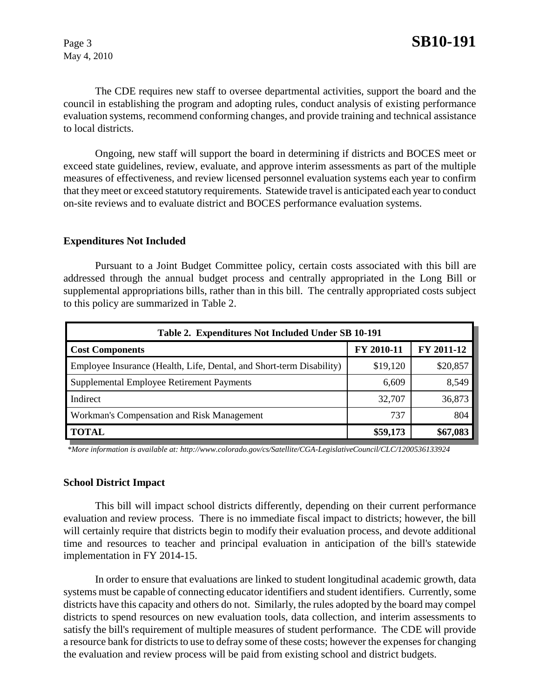May 4, 2010

The CDE requires new staff to oversee departmental activities, support the board and the council in establishing the program and adopting rules, conduct analysis of existing performance evaluation systems, recommend conforming changes, and provide training and technical assistance to local districts.

Ongoing, new staff will support the board in determining if districts and BOCES meet or exceed state guidelines, review, evaluate, and approve interim assessments as part of the multiple measures of effectiveness, and review licensed personnel evaluation systems each year to confirm that they meet or exceed statutory requirements. Statewide travel is anticipated each year to conduct on-site reviews and to evaluate district and BOCES performance evaluation systems.

#### **Expenditures Not Included**

Pursuant to a Joint Budget Committee policy, certain costs associated with this bill are addressed through the annual budget process and centrally appropriated in the Long Bill or supplemental appropriations bills, rather than in this bill. The centrally appropriated costs subject to this policy are summarized in Table 2.

| Table 2. Expenditures Not Included Under SB 10-191                   |            |            |  |  |  |  |
|----------------------------------------------------------------------|------------|------------|--|--|--|--|
| <b>Cost Components</b>                                               | FY 2010-11 | FY 2011-12 |  |  |  |  |
| Employee Insurance (Health, Life, Dental, and Short-term Disability) | \$19,120   | \$20,857   |  |  |  |  |
| Supplemental Employee Retirement Payments                            | 6,609      | 8,549      |  |  |  |  |
| Indirect                                                             | 32,707     | 36,873     |  |  |  |  |
| Workman's Compensation and Risk Management                           | 737        | 804        |  |  |  |  |
| <b>TOTAL</b>                                                         | \$59,173   | \$67,083   |  |  |  |  |

 *\*More information is available at: http://www.colorado.gov/cs/Satellite/CGA-LegislativeCouncil/CLC/1200536133924*

#### **School District Impact**

This bill will impact school districts differently, depending on their current performance evaluation and review process. There is no immediate fiscal impact to districts; however, the bill will certainly require that districts begin to modify their evaluation process, and devote additional time and resources to teacher and principal evaluation in anticipation of the bill's statewide implementation in FY 2014-15.

In order to ensure that evaluations are linked to student longitudinal academic growth, data systems must be capable of connecting educator identifiers and student identifiers. Currently, some districts have this capacity and others do not. Similarly, the rules adopted by the board may compel districts to spend resources on new evaluation tools, data collection, and interim assessments to satisfy the bill's requirement of multiple measures of student performance. The CDE will provide a resource bank for districts to use to defray some of these costs; however the expenses for changing the evaluation and review process will be paid from existing school and district budgets.